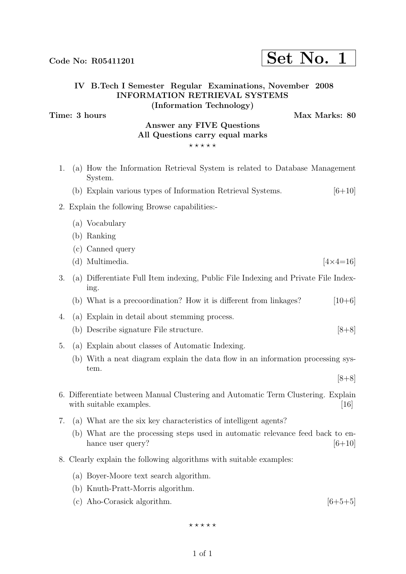# $\text{Code No: R05411201} \qquad \qquad \text{Set No. 1}$

### IV B.Tech I Semester Regular Examinations, November 2008 INFORMATION RETRIEVAL SYSTEMS (Information Technology)

Time: 3 hours Max Marks: 80

### Answer any FIVE Questions All Questions carry equal marks  $***$ \*\*

- 1. (a) How the Information Retrieval System is related to Database Management System.
	- (b) Explain various types of Information Retrieval Systems.  $[6+10]$

### 2. Explain the following Browse capabilities:-

- (a) Vocabulary
- (b) Ranking
- (c) Canned query
- (d) Multimedia.  $[4 \times 4 = 16]$
- 3. (a) Differentiate Full Item indexing, Public File Indexing and Private File Indexing.
	- (b) What is a precoordination? How it is different from linkages?  $[10+6]$
- 4. (a) Explain in detail about stemming process.
	- (b) Describe signature File structure. [8+8]
- 5. (a) Explain about classes of Automatic Indexing.
	- (b) With a neat diagram explain the data flow in an information processing system.

 $[8+8]$ 

- 6. Differentiate between Manual Clustering and Automatic Term Clustering. Explain with suitable examples. [16]
- 7. (a) What are the six key characteristics of intelligent agents?
	- (b) What are the processing steps used in automatic relevance feed back to enhance user query?  $[6+10]$
- 8. Clearly explain the following algorithms with suitable examples:
	- (a) Boyer-Moore text search algorithm.
	- (b) Knuth-Pratt-Morris algorithm.
	- (c) Aho-Corasick algorithm.  $[6+5+5]$

 $***$ \*\*

### 1 of 1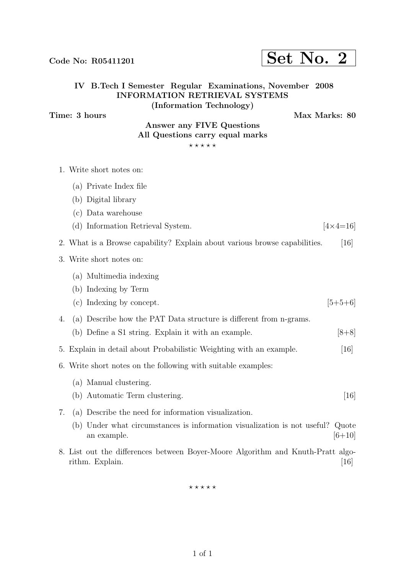$***$ \*\*

### 1 of 1

# 1. Write short notes on: (a) Private Index file (b) Digital library (c) Data warehouse 3. Write short notes on: (a) Multimedia indexing (b) Indexing by Term

- - (d) Information Retrieval System.  $4 \times 4 = 16$
- 2. What is a Browse capability? Explain about various browse capabilities. [16]

- 
- (c) Indexing by concept.  $[5+5+6]$
- 4. (a) Describe how the PAT Data structure is different from n-grams.
	- (b) Define a S1 string. Explain it with an example.  $[8+8]$
- 5. Explain in detail about Probabilistic Weighting with an example. [16]
- 6. Write short notes on the following with suitable examples:
	- (a) Manual clustering.
	- (b) Automatic Term clustering. [16] [16]
- 
- 7. (a) Describe the need for information visualization.
	- (b) Under what circumstances is information visualization is not useful? Quote an example.  $[6+10]$
- 8. List out the differences between Boyer-Moore Algorithm and Knuth-Pratt algorithm. Explain. [16]

### Time: 3 hours Max Marks: 80 Answer any FIVE Questions All Questions carry equal marks

IV B.Tech I Semester Regular Examinations, November 2008 INFORMATION RETRIEVAL SYSTEMS (Information Technology)

 $***$ \*\*

# Code No: R05411201  $\vert$  Set No. 2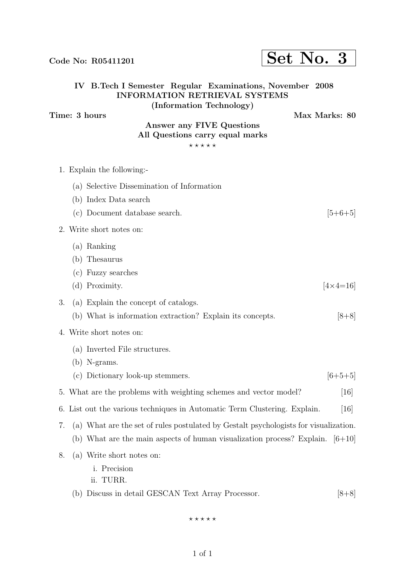INFORMATION RETRIEVAL SYSTEMS (Information Technology) Time: 3 hours Max Marks: 80 Answer any FIVE Questions All Questions carry equal marks  $***$ \*\* 1. Explain the following:- (a) Selective Dissemination of Information (b) Index Data search (c) Document database search.  $[5+6+5]$ 2. Write short notes on: (a) Ranking (b) Thesaurus (c) Fuzzy searches 3. (a) Explain the concept of catalogs. (b) What is information extraction? Explain its concepts. [8+8] 4. Write short notes on: (a) Inverted File structures. (b) N-grams. (c) Dictionary look-up stemmers.  $[6+5+5]$ 5. What are the problems with weighting schemes and vector model? [16] 6. List out the various techniques in Automatic Term Clustering. Explain. [16] (b) What are the main aspects of human visualization process? Explain.  $[6+10]$ 8. (a) Write short notes on:

IV B.Tech I Semester Regular Examinations, November 2008

- i. Precision
- ii. TURR.

(b) Discuss in detail GESCAN Text Array Processor. [8+8]

 $***$ \*\*

# Code No: R05411201  $\vert$  Set No. 3

(d) Proximity.  $[4 \times 4=16]$ 

- 7. (a) What are the set of rules postulated by Gestalt psychologists for visualization.
	-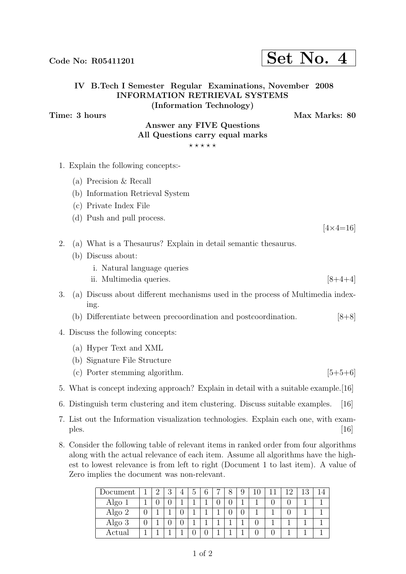1 of 2

### IV B.Tech I Semester Regular Examinations, November 2008 INFORMATION RETRIEVAL SYSTEMS (Information Technology)

Time: 3 hours Max Marks: 80

### Answer any FIVE Questions All Questions carry equal marks

 $***$ \*\*

- 1. Explain the following concepts:-
	- (a) Precision & Recall
	- (b) Information Retrieval System
	- (c) Private Index File
	- (d) Push and pull process.

 $[4 \times 4 = 16]$ 

- 2. (a) What is a Thesaurus? Explain in detail semantic thesaurus.
	- (b) Discuss about:
		- i. Natural language queries
		- ii. Multimedia queries.  $[8+4+4]$
- 3. (a) Discuss about different mechanisms used in the process of Multimedia indexing.
	- (b) Differentiate between precoordination and postcoordination. [8+8]
- 4. Discuss the following concepts:
	- (a) Hyper Text and XML
	- (b) Signature File Structure
	- (c) Porter stemming algorithm.  $[5+5+6]$
- 5. What is concept indexing approach? Explain in detail with a suitable example.[16]
- 6. Distinguish term clustering and item clustering. Discuss suitable examples. [16]
- 7. List out the Information visualization technologies. Explain each one, with exam $p$ les.  $[16]$
- 8. Consider the following table of relevant items in ranked order from four algorithms along with the actual relevance of each item. Assume all algorithms have the highest to lowest relevance is from left to right (Document 1 to last item). A value of Zero implies the document was non-relevant.

| Document |   | റ<br>↵ | ച<br>IJ | 4 | $\circ$ | C.<br>0 | O<br>О | Q<br>J |  | 1 ດ | 19 |  |
|----------|---|--------|---------|---|---------|---------|--------|--------|--|-----|----|--|
| Algo 1   |   | U      |         |   |         |         |        |        |  |     |    |  |
| Algo 2   | υ |        |         | ∩ |         |         |        |        |  |     |    |  |
| Algo 3   | υ |        |         |   |         |         |        |        |  |     |    |  |
| Actual   |   |        |         |   |         |         |        |        |  |     |    |  |

## Code No: R05411201  $\left| \text{Set No. 4} \right|$